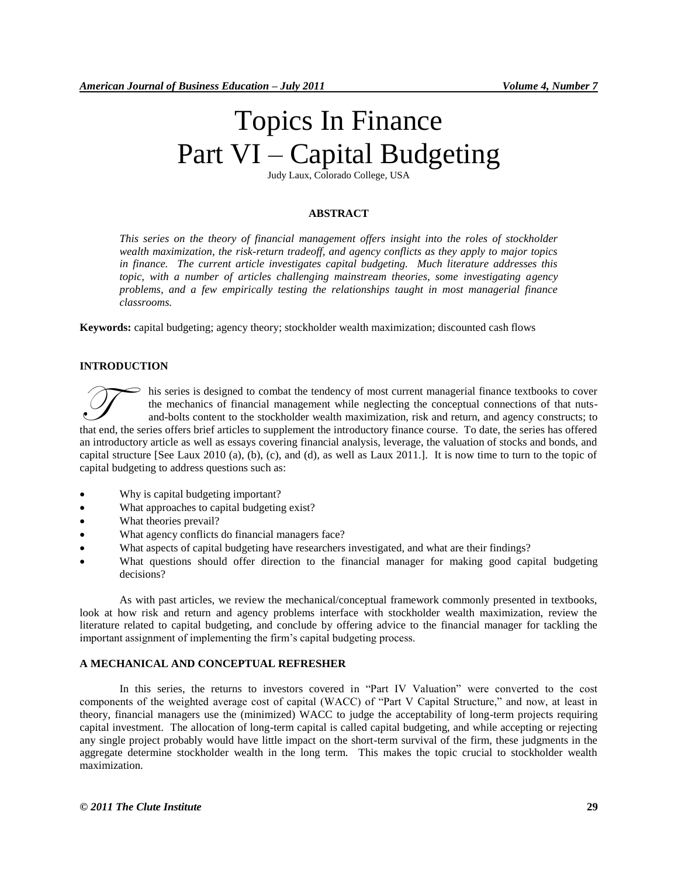# Topics In Finance Part VI – Capital Budgeting

Judy Laux, Colorado College, USA

## **ABSTRACT**

*This series on the theory of financial management offers insight into the roles of stockholder wealth maximization, the risk-return tradeoff, and agency conflicts as they apply to major topics in finance. The current article investigates capital budgeting. Much literature addresses this topic, with a number of articles challenging mainstream theories, some investigating agency problems, and a few empirically testing the relationships taught in most managerial finance classrooms.*

**Keywords:** capital budgeting; agency theory; stockholder wealth maximization; discounted cash flows

# **INTRODUCTION**

his series is designed to combat the tendency of most current managerial finance textbooks to cover the mechanics of financial management while neglecting the conceptual connections of that nutsand-bolts content to the stockholder wealth maximization, risk and return, and agency constructs; to that end, the series is designed to combat the tendency of most current managerial finance textbooks to cover<br>the mechanics of financial management while neglecting the conceptual connections of that nuts-<br>and-bolts conten an introductory article as well as essays covering financial analysis, leverage, the valuation of stocks and bonds, and capital structure [See Laux 2010 (a), (b), (c), and (d), as well as Laux 2011.]. It is now time to turn to the topic of capital budgeting to address questions such as:

- Why is capital budgeting important?
- What approaches to capital budgeting exist?
- What theories prevail?
- What agency conflicts do financial managers face?
- What aspects of capital budgeting have researchers investigated, and what are their findings?
- What questions should offer direction to the financial manager for making good capital budgeting decisions?

As with past articles, we review the mechanical/conceptual framework commonly presented in textbooks, look at how risk and return and agency problems interface with stockholder wealth maximization, review the literature related to capital budgeting, and conclude by offering advice to the financial manager for tackling the important assignment of implementing the firm's capital budgeting process.

#### **A MECHANICAL AND CONCEPTUAL REFRESHER**

In this series, the returns to investors covered in "Part IV Valuation" were converted to the cost components of the weighted average cost of capital (WACC) of "Part V Capital Structure," and now, at least in theory, financial managers use the (minimized) WACC to judge the acceptability of long-term projects requiring capital investment. The allocation of long-term capital is called capital budgeting, and while accepting or rejecting any single project probably would have little impact on the short-term survival of the firm, these judgments in the aggregate determine stockholder wealth in the long term. This makes the topic crucial to stockholder wealth maximization.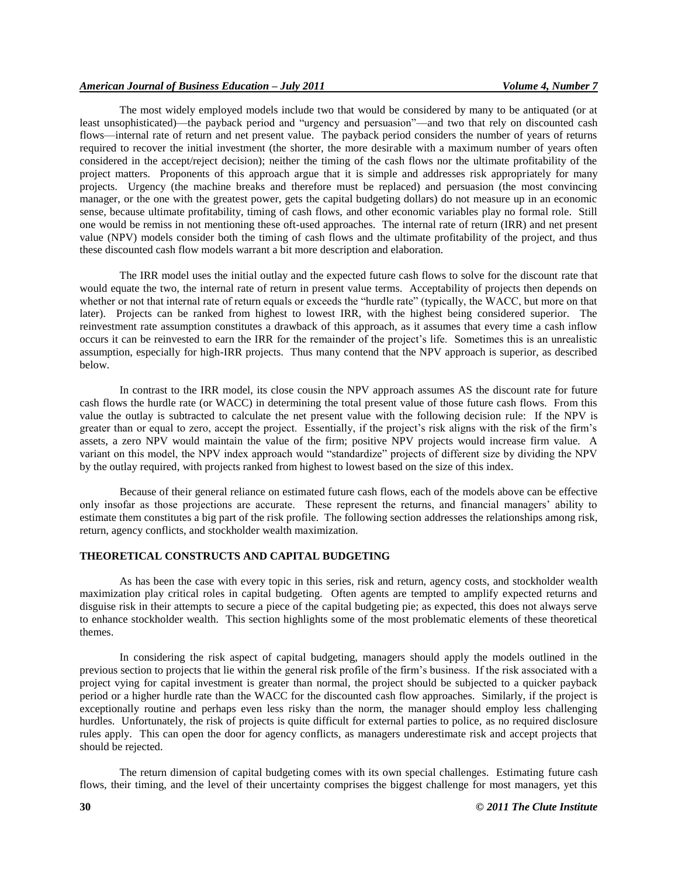#### *American Journal of Business Education – July 2011 Volume 4, Number 7*

The most widely employed models include two that would be considered by many to be antiquated (or at least unsophisticated)—the payback period and "urgency and persuasion"—and two that rely on discounted cash flows—internal rate of return and net present value. The payback period considers the number of years of returns required to recover the initial investment (the shorter, the more desirable with a maximum number of years often considered in the accept/reject decision); neither the timing of the cash flows nor the ultimate profitability of the project matters. Proponents of this approach argue that it is simple and addresses risk appropriately for many projects. Urgency (the machine breaks and therefore must be replaced) and persuasion (the most convincing manager, or the one with the greatest power, gets the capital budgeting dollars) do not measure up in an economic sense, because ultimate profitability, timing of cash flows, and other economic variables play no formal role. Still one would be remiss in not mentioning these oft-used approaches. The internal rate of return (IRR) and net present value (NPV) models consider both the timing of cash flows and the ultimate profitability of the project, and thus these discounted cash flow models warrant a bit more description and elaboration.

The IRR model uses the initial outlay and the expected future cash flows to solve for the discount rate that would equate the two, the internal rate of return in present value terms. Acceptability of projects then depends on whether or not that internal rate of return equals or exceeds the "hurdle rate" (typically, the WACC, but more on that later). Projects can be ranked from highest to lowest IRR, with the highest being considered superior. The reinvestment rate assumption constitutes a drawback of this approach, as it assumes that every time a cash inflow occurs it can be reinvested to earn the IRR for the remainder of the project's life. Sometimes this is an unrealistic assumption, especially for high-IRR projects. Thus many contend that the NPV approach is superior, as described below.

In contrast to the IRR model, its close cousin the NPV approach assumes AS the discount rate for future cash flows the hurdle rate (or WACC) in determining the total present value of those future cash flows. From this value the outlay is subtracted to calculate the net present value with the following decision rule: If the NPV is greater than or equal to zero, accept the project. Essentially, if the project's risk aligns with the risk of the firm's assets, a zero NPV would maintain the value of the firm; positive NPV projects would increase firm value. A variant on this model, the NPV index approach would "standardize" projects of different size by dividing the NPV by the outlay required, with projects ranked from highest to lowest based on the size of this index.

Because of their general reliance on estimated future cash flows, each of the models above can be effective only insofar as those projections are accurate. These represent the returns, and financial managers' ability to estimate them constitutes a big part of the risk profile. The following section addresses the relationships among risk, return, agency conflicts, and stockholder wealth maximization.

#### **THEORETICAL CONSTRUCTS AND CAPITAL BUDGETING**

As has been the case with every topic in this series, risk and return, agency costs, and stockholder wealth maximization play critical roles in capital budgeting. Often agents are tempted to amplify expected returns and disguise risk in their attempts to secure a piece of the capital budgeting pie; as expected, this does not always serve to enhance stockholder wealth. This section highlights some of the most problematic elements of these theoretical themes.

In considering the risk aspect of capital budgeting, managers should apply the models outlined in the previous section to projects that lie within the general risk profile of the firm's business. If the risk associated with a project vying for capital investment is greater than normal, the project should be subjected to a quicker payback period or a higher hurdle rate than the WACC for the discounted cash flow approaches. Similarly, if the project is exceptionally routine and perhaps even less risky than the norm, the manager should employ less challenging hurdles. Unfortunately, the risk of projects is quite difficult for external parties to police, as no required disclosure rules apply. This can open the door for agency conflicts, as managers underestimate risk and accept projects that should be rejected.

The return dimension of capital budgeting comes with its own special challenges. Estimating future cash flows, their timing, and the level of their uncertainty comprises the biggest challenge for most managers, yet this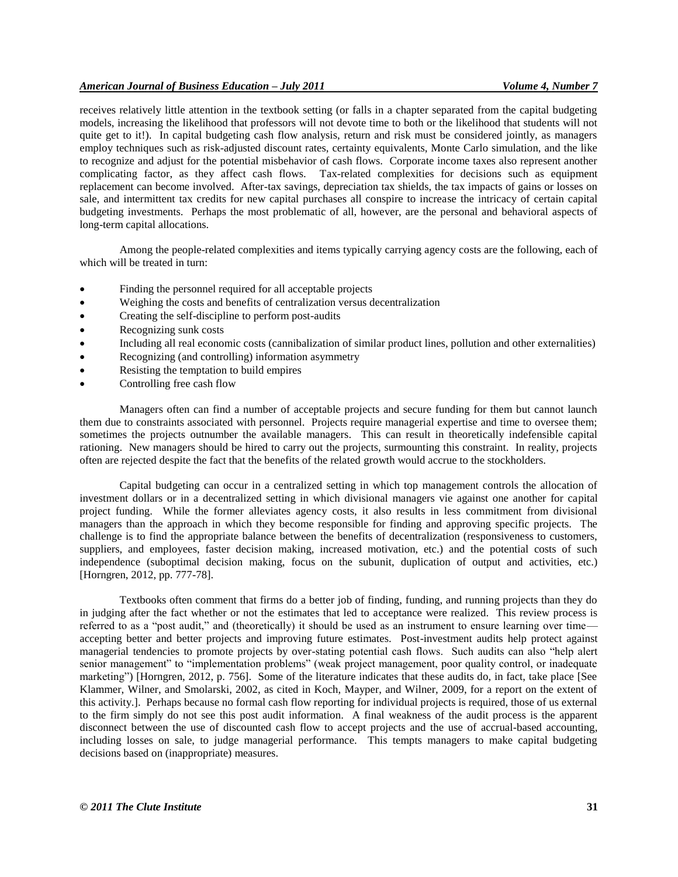#### *American Journal of Business Education – July 2011 Volume 4, Number 7*

receives relatively little attention in the textbook setting (or falls in a chapter separated from the capital budgeting models, increasing the likelihood that professors will not devote time to both or the likelihood that students will not quite get to it!). In capital budgeting cash flow analysis, return and risk must be considered jointly, as managers employ techniques such as risk-adjusted discount rates, certainty equivalents, Monte Carlo simulation, and the like to recognize and adjust for the potential misbehavior of cash flows. Corporate income taxes also represent another complicating factor, as they affect cash flows. Tax-related complexities for decisions such as equipment replacement can become involved. After-tax savings, depreciation tax shields, the tax impacts of gains or losses on sale, and intermittent tax credits for new capital purchases all conspire to increase the intricacy of certain capital budgeting investments. Perhaps the most problematic of all, however, are the personal and behavioral aspects of long-term capital allocations.

Among the people-related complexities and items typically carrying agency costs are the following, each of which will be treated in turn:

- Finding the personnel required for all acceptable projects
- Weighing the costs and benefits of centralization versus decentralization
- Creating the self-discipline to perform post-audits
- Recognizing sunk costs
- Including all real economic costs (cannibalization of similar product lines, pollution and other externalities)
- Recognizing (and controlling) information asymmetry
- Resisting the temptation to build empires
- Controlling free cash flow

Managers often can find a number of acceptable projects and secure funding for them but cannot launch them due to constraints associated with personnel. Projects require managerial expertise and time to oversee them; sometimes the projects outnumber the available managers. This can result in theoretically indefensible capital rationing. New managers should be hired to carry out the projects, surmounting this constraint. In reality, projects often are rejected despite the fact that the benefits of the related growth would accrue to the stockholders.

Capital budgeting can occur in a centralized setting in which top management controls the allocation of investment dollars or in a decentralized setting in which divisional managers vie against one another for capital project funding. While the former alleviates agency costs, it also results in less commitment from divisional managers than the approach in which they become responsible for finding and approving specific projects. The challenge is to find the appropriate balance between the benefits of decentralization (responsiveness to customers, suppliers, and employees, faster decision making, increased motivation, etc.) and the potential costs of such independence (suboptimal decision making, focus on the subunit, duplication of output and activities, etc.) [Horngren, 2012, pp. 777-78].

Textbooks often comment that firms do a better job of finding, funding, and running projects than they do in judging after the fact whether or not the estimates that led to acceptance were realized. This review process is referred to as a "post audit," and (theoretically) it should be used as an instrument to ensure learning over time accepting better and better projects and improving future estimates. Post-investment audits help protect against managerial tendencies to promote projects by over-stating potential cash flows. Such audits can also "help alert senior management" to "implementation problems" (weak project management, poor quality control, or inadequate marketing") [Horngren, 2012, p. 756]. Some of the literature indicates that these audits do, in fact, take place [See Klammer, Wilner, and Smolarski, 2002, as cited in Koch, Mayper, and Wilner, 2009, for a report on the extent of this activity.]. Perhaps because no formal cash flow reporting for individual projects is required, those of us external to the firm simply do not see this post audit information. A final weakness of the audit process is the apparent disconnect between the use of discounted cash flow to accept projects and the use of accrual-based accounting, including losses on sale, to judge managerial performance. This tempts managers to make capital budgeting decisions based on (inappropriate) measures.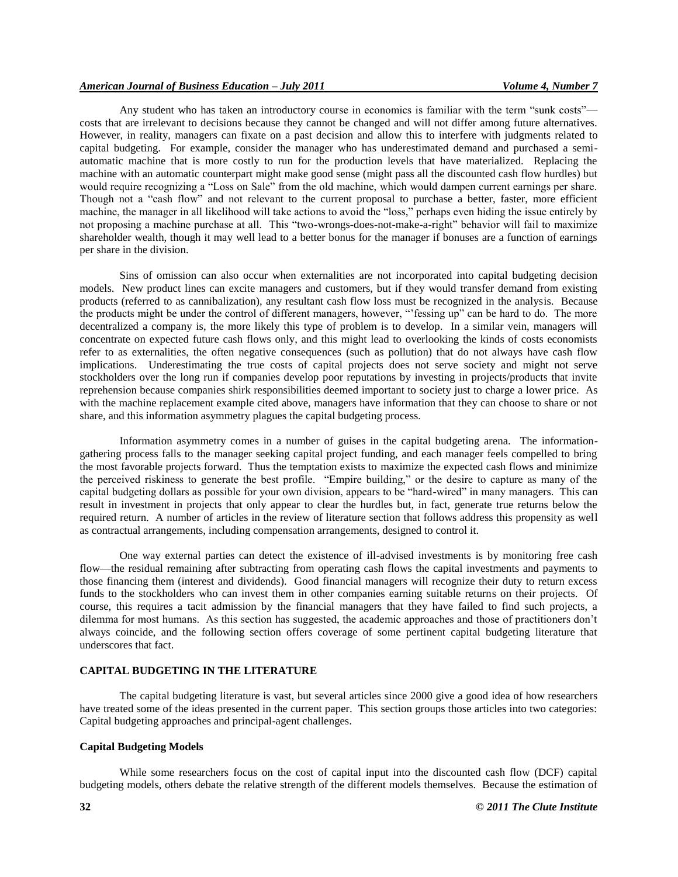#### *American Journal of Business Education – July 2011 Volume 4, Number 7*

Any student who has taken an introductory course in economics is familiar with the term "sunk costs" costs that are irrelevant to decisions because they cannot be changed and will not differ among future alternatives. However, in reality, managers can fixate on a past decision and allow this to interfere with judgments related to capital budgeting. For example, consider the manager who has underestimated demand and purchased a semiautomatic machine that is more costly to run for the production levels that have materialized. Replacing the machine with an automatic counterpart might make good sense (might pass all the discounted cash flow hurdles) but would require recognizing a "Loss on Sale" from the old machine, which would dampen current earnings per share. Though not a "cash flow" and not relevant to the current proposal to purchase a better, faster, more efficient machine, the manager in all likelihood will take actions to avoid the "loss," perhaps even hiding the issue entirely by not proposing a machine purchase at all. This "two-wrongs-does-not-make-a-right" behavior will fail to maximize shareholder wealth, though it may well lead to a better bonus for the manager if bonuses are a function of earnings per share in the division.

Sins of omission can also occur when externalities are not incorporated into capital budgeting decision models. New product lines can excite managers and customers, but if they would transfer demand from existing products (referred to as cannibalization), any resultant cash flow loss must be recognized in the analysis. Because the products might be under the control of different managers, however, "fessing up" can be hard to do. The more decentralized a company is, the more likely this type of problem is to develop. In a similar vein, managers will concentrate on expected future cash flows only, and this might lead to overlooking the kinds of costs economists refer to as externalities, the often negative consequences (such as pollution) that do not always have cash flow implications. Underestimating the true costs of capital projects does not serve society and might not serve stockholders over the long run if companies develop poor reputations by investing in projects/products that invite reprehension because companies shirk responsibilities deemed important to society just to charge a lower price. As with the machine replacement example cited above, managers have information that they can choose to share or not share, and this information asymmetry plagues the capital budgeting process.

Information asymmetry comes in a number of guises in the capital budgeting arena. The informationgathering process falls to the manager seeking capital project funding, and each manager feels compelled to bring the most favorable projects forward. Thus the temptation exists to maximize the expected cash flows and minimize the perceived riskiness to generate the best profile. "Empire building," or the desire to capture as many of the capital budgeting dollars as possible for your own division, appears to be "hard-wired" in many managers. This can result in investment in projects that only appear to clear the hurdles but, in fact, generate true returns below the required return. A number of articles in the review of literature section that follows address this propensity as well as contractual arrangements, including compensation arrangements, designed to control it.

One way external parties can detect the existence of ill-advised investments is by monitoring free cash flow—the residual remaining after subtracting from operating cash flows the capital investments and payments to those financing them (interest and dividends). Good financial managers will recognize their duty to return excess funds to the stockholders who can invest them in other companies earning suitable returns on their projects. Of course, this requires a tacit admission by the financial managers that they have failed to find such projects, a dilemma for most humans. As this section has suggested, the academic approaches and those of practitioners don't always coincide, and the following section offers coverage of some pertinent capital budgeting literature that underscores that fact.

#### **CAPITAL BUDGETING IN THE LITERATURE**

The capital budgeting literature is vast, but several articles since 2000 give a good idea of how researchers have treated some of the ideas presented in the current paper. This section groups those articles into two categories: Capital budgeting approaches and principal-agent challenges.

#### **Capital Budgeting Models**

While some researchers focus on the cost of capital input into the discounted cash flow (DCF) capital budgeting models, others debate the relative strength of the different models themselves. Because the estimation of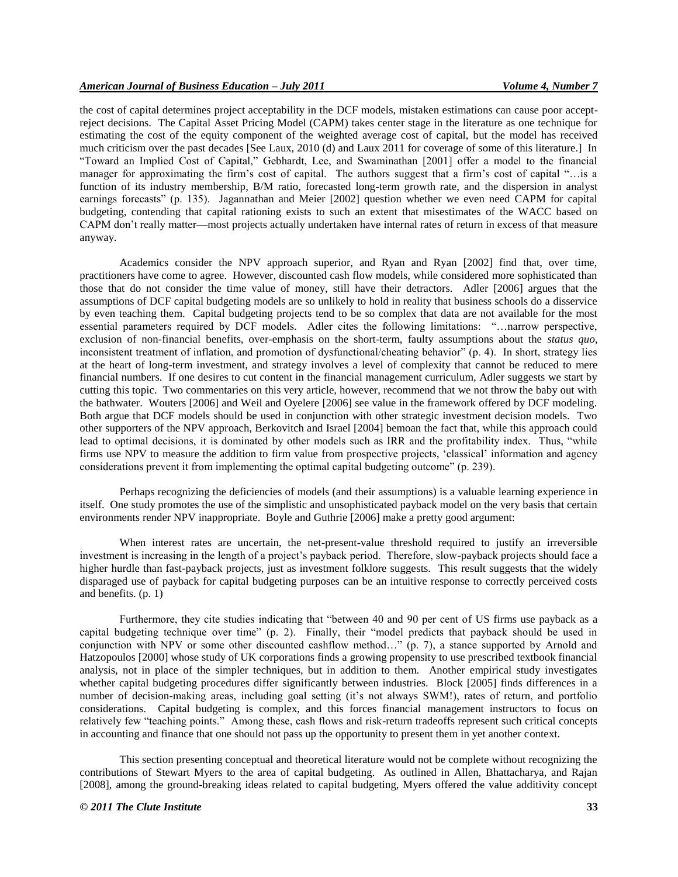the cost of capital determines project acceptability in the DCF models, mistaken estimations can cause poor acceptreject decisions. The Capital Asset Pricing Model (CAPM) takes center stage in the literature as one technique for estimating the cost of the equity component of the weighted average cost of capital, but the model has received much criticism over the past decades [See Laux, 2010 (d) and Laux 2011 for coverage of some of this literature.] In ―Toward an Implied Cost of Capital,‖ Gebhardt, Lee, and Swaminathan [2001] offer a model to the financial manager for approximating the firm's cost of capital. The authors suggest that a firm's cost of capital "...is a function of its industry membership, B/M ratio, forecasted long-term growth rate, and the dispersion in analyst earnings forecasts" (p. 135). Jagannathan and Meier [2002] question whether we even need CAPM for capital budgeting, contending that capital rationing exists to such an extent that misestimates of the WACC based on CAPM don't really matter—most projects actually undertaken have internal rates of return in excess of that measure anyway.

Academics consider the NPV approach superior, and Ryan and Ryan [2002] find that, over time, practitioners have come to agree. However, discounted cash flow models, while considered more sophisticated than those that do not consider the time value of money, still have their detractors. Adler [2006] argues that the assumptions of DCF capital budgeting models are so unlikely to hold in reality that business schools do a disservice by even teaching them. Capital budgeting projects tend to be so complex that data are not available for the most essential parameters required by DCF models. Adler cites the following limitations: "... narrow perspective, exclusion of non-financial benefits, over-emphasis on the short-term, faulty assumptions about the *status quo*, inconsistent treatment of inflation, and promotion of dysfunctional/cheating behavior" (p. 4). In short, strategy lies at the heart of long-term investment, and strategy involves a level of complexity that cannot be reduced to mere financial numbers. If one desires to cut content in the financial management curriculum, Adler suggests we start by cutting this topic. Two commentaries on this very article, however, recommend that we not throw the baby out with the bathwater. Wouters [2006] and Weil and Oyelere [2006] see value in the framework offered by DCF modeling. Both argue that DCF models should be used in conjunction with other strategic investment decision models. Two other supporters of the NPV approach, Berkovitch and Israel [2004] bemoan the fact that, while this approach could lead to optimal decisions, it is dominated by other models such as IRR and the profitability index. Thus, "while firms use NPV to measure the addition to firm value from prospective projects, ‗classical' information and agency considerations prevent it from implementing the optimal capital budgeting outcome" (p. 239).

Perhaps recognizing the deficiencies of models (and their assumptions) is a valuable learning experience in itself. One study promotes the use of the simplistic and unsophisticated payback model on the very basis that certain environments render NPV inappropriate. Boyle and Guthrie [2006] make a pretty good argument:

When interest rates are uncertain, the net-present-value threshold required to justify an irreversible investment is increasing in the length of a project's payback period. Therefore, slow-payback projects should face a higher hurdle than fast-payback projects, just as investment folklore suggests. This result suggests that the widely disparaged use of payback for capital budgeting purposes can be an intuitive response to correctly perceived costs and benefits. (p. 1)

Furthermore, they cite studies indicating that "between 40 and 90 per cent of US firms use payback as a capital budgeting technique over time" (p. 2). Finally, their "model predicts that payback should be used in conjunction with NPV or some other discounted cashflow method…" (p. 7), a stance supported by Arnold and Hatzopoulos [2000] whose study of UK corporations finds a growing propensity to use prescribed textbook financial analysis, not in place of the simpler techniques, but in addition to them. Another empirical study investigates whether capital budgeting procedures differ significantly between industries. Block [2005] finds differences in a number of decision-making areas, including goal setting (it's not always SWM!), rates of return, and portfolio considerations. Capital budgeting is complex, and this forces financial management instructors to focus on relatively few "teaching points." Among these, cash flows and risk-return tradeoffs represent such critical concepts in accounting and finance that one should not pass up the opportunity to present them in yet another context.

This section presenting conceptual and theoretical literature would not be complete without recognizing the contributions of Stewart Myers to the area of capital budgeting. As outlined in Allen, Bhattacharya, and Rajan [2008], among the ground-breaking ideas related to capital budgeting, Myers offered the value additivity concept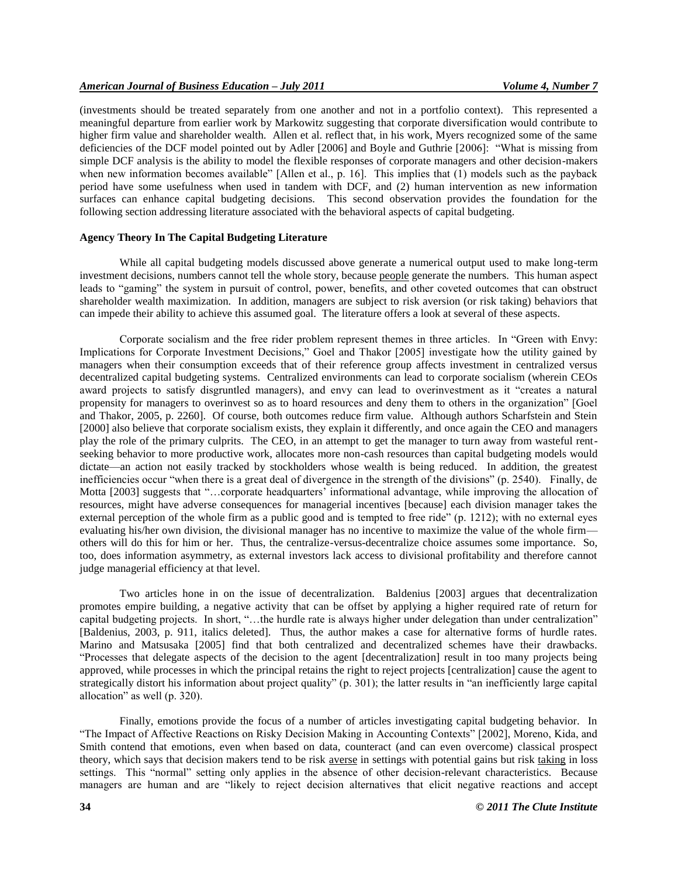(investments should be treated separately from one another and not in a portfolio context). This represented a meaningful departure from earlier work by Markowitz suggesting that corporate diversification would contribute to higher firm value and shareholder wealth. Allen et al. reflect that, in his work, Myers recognized some of the same deficiencies of the DCF model pointed out by Adler [2006] and Boyle and Guthrie [2006]: "What is missing from simple DCF analysis is the ability to model the flexible responses of corporate managers and other decision-makers when new information becomes available" [Allen et al., p. 16]. This implies that (1) models such as the payback period have some usefulness when used in tandem with DCF, and (2) human intervention as new information surfaces can enhance capital budgeting decisions. This second observation provides the foundation for the following section addressing literature associated with the behavioral aspects of capital budgeting.

### **Agency Theory In The Capital Budgeting Literature**

While all capital budgeting models discussed above generate a numerical output used to make long-term investment decisions, numbers cannot tell the whole story, because people generate the numbers. This human aspect leads to "gaming" the system in pursuit of control, power, benefits, and other coveted outcomes that can obstruct shareholder wealth maximization. In addition, managers are subject to risk aversion (or risk taking) behaviors that can impede their ability to achieve this assumed goal. The literature offers a look at several of these aspects.

Corporate socialism and the free rider problem represent themes in three articles. In "Green with Envy: Implications for Corporate Investment Decisions," Goel and Thakor [2005] investigate how the utility gained by managers when their consumption exceeds that of their reference group affects investment in centralized versus decentralized capital budgeting systems. Centralized environments can lead to corporate socialism (wherein CEOs award projects to satisfy disgruntled managers), and envy can lead to overinvestment as it "creates a natural propensity for managers to overinvest so as to hoard resources and deny them to others in the organization" [Goel and Thakor, 2005, p. 2260]. Of course, both outcomes reduce firm value. Although authors Scharfstein and Stein [2000] also believe that corporate socialism exists, they explain it differently, and once again the CEO and managers play the role of the primary culprits. The CEO, in an attempt to get the manager to turn away from wasteful rentseeking behavior to more productive work, allocates more non-cash resources than capital budgeting models would dictate—an action not easily tracked by stockholders whose wealth is being reduced. In addition, the greatest inefficiencies occur "when there is a great deal of divergence in the strength of the divisions" (p. 2540). Finally, de Motta [2003] suggests that "...corporate headquarters' informational advantage, while improving the allocation of resources, might have adverse consequences for managerial incentives [because] each division manager takes the external perception of the whole firm as a public good and is tempted to free ride" (p. 1212); with no external eyes evaluating his/her own division, the divisional manager has no incentive to maximize the value of the whole firm others will do this for him or her. Thus, the centralize-versus-decentralize choice assumes some importance. So, too, does information asymmetry, as external investors lack access to divisional profitability and therefore cannot judge managerial efficiency at that level.

Two articles hone in on the issue of decentralization. Baldenius [2003] argues that decentralization promotes empire building, a negative activity that can be offset by applying a higher required rate of return for capital budgeting projects. In short, "...the hurdle rate is always higher under delegation than under centralization" [Baldenius, 2003, p. 911, italics deleted]. Thus, the author makes a case for alternative forms of hurdle rates. Marino and Matsusaka [2005] find that both centralized and decentralized schemes have their drawbacks. ―Processes that delegate aspects of the decision to the agent [decentralization] result in too many projects being approved, while processes in which the principal retains the right to reject projects [centralization] cause the agent to strategically distort his information about project quality" (p.  $\overline{301}$ ); the latter results in "an inefficiently large capital allocation" as well  $(p. 320)$ .

Finally, emotions provide the focus of a number of articles investigating capital budgeting behavior. In "The Impact of Affective Reactions on Risky Decision Making in Accounting Contexts" [2002], Moreno, Kida, and Smith contend that emotions, even when based on data, counteract (and can even overcome) classical prospect theory, which says that decision makers tend to be risk averse in settings with potential gains but risk taking in loss settings. This "normal" setting only applies in the absence of other decision-relevant characteristics. Because managers are human and are "likely to reject decision alternatives that elicit negative reactions and accept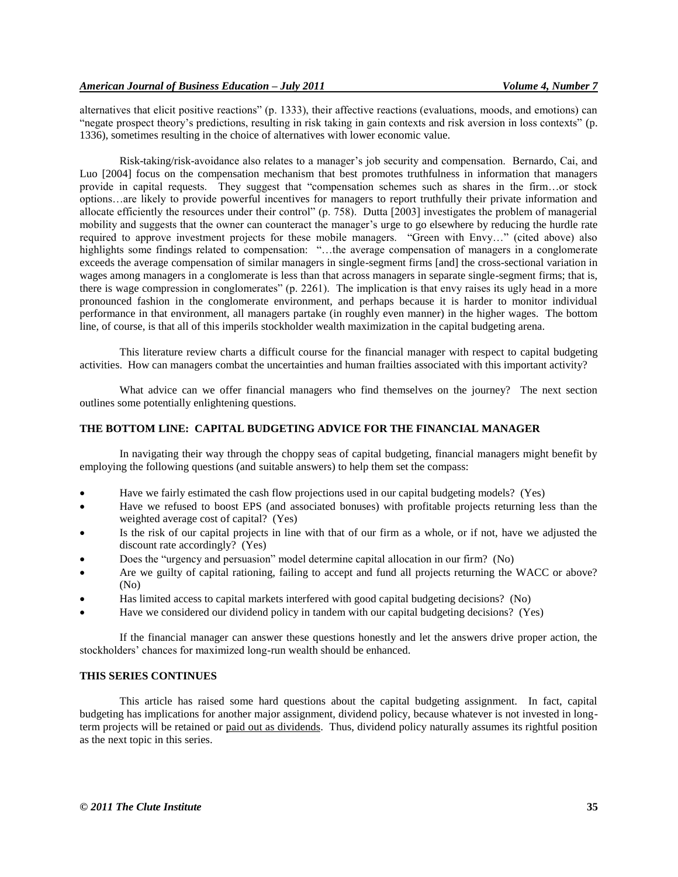alternatives that elicit positive reactions" (p. 1333), their affective reactions (evaluations, moods, and emotions) can "negate prospect theory's predictions, resulting in risk taking in gain contexts and risk aversion in loss contexts" (p. 1336), sometimes resulting in the choice of alternatives with lower economic value.

Risk-taking/risk-avoidance also relates to a manager's job security and compensation. Bernardo, Cai, and Luo [2004] focus on the compensation mechanism that best promotes truthfulness in information that managers provide in capital requests. They suggest that "compensation schemes such as shares in the firm...or stock options…are likely to provide powerful incentives for managers to report truthfully their private information and allocate efficiently the resources under their control" (p. 758). Dutta [2003] investigates the problem of managerial mobility and suggests that the owner can counteract the manager's urge to go elsewhere by reducing the hurdle rate required to approve investment projects for these mobile managers. "Green with Envy..." (cited above) also highlights some findings related to compensation: "...the average compensation of managers in a conglomerate exceeds the average compensation of similar managers in single-segment firms [and] the cross-sectional variation in wages among managers in a conglomerate is less than that across managers in separate single-segment firms; that is, there is wage compression in conglomerates"  $(p. 2261)$ . The implication is that envy raises its ugly head in a more pronounced fashion in the conglomerate environment, and perhaps because it is harder to monitor individual performance in that environment, all managers partake (in roughly even manner) in the higher wages. The bottom line, of course, is that all of this imperils stockholder wealth maximization in the capital budgeting arena.

This literature review charts a difficult course for the financial manager with respect to capital budgeting activities. How can managers combat the uncertainties and human frailties associated with this important activity?

What advice can we offer financial managers who find themselves on the journey? The next section outlines some potentially enlightening questions.

#### **THE BOTTOM LINE: CAPITAL BUDGETING ADVICE FOR THE FINANCIAL MANAGER**

In navigating their way through the choppy seas of capital budgeting, financial managers might benefit by employing the following questions (and suitable answers) to help them set the compass:

- Have we fairly estimated the cash flow projections used in our capital budgeting models? (Yes)
- Have we refused to boost EPS (and associated bonuses) with profitable projects returning less than the weighted average cost of capital? (Yes)
- Is the risk of our capital projects in line with that of our firm as a whole, or if not, have we adjusted the discount rate accordingly? (Yes)
- Does the "urgency and persuasion" model determine capital allocation in our firm? (No)
- Are we guilty of capital rationing, failing to accept and fund all projects returning the WACC or above? (No)
- Has limited access to capital markets interfered with good capital budgeting decisions? (No)
- Have we considered our dividend policy in tandem with our capital budgeting decisions? (Yes)

If the financial manager can answer these questions honestly and let the answers drive proper action, the stockholders' chances for maximized long-run wealth should be enhanced.

#### **THIS SERIES CONTINUES**

This article has raised some hard questions about the capital budgeting assignment. In fact, capital budgeting has implications for another major assignment, dividend policy, because whatever is not invested in longterm projects will be retained or paid out as dividends. Thus, dividend policy naturally assumes its rightful position as the next topic in this series.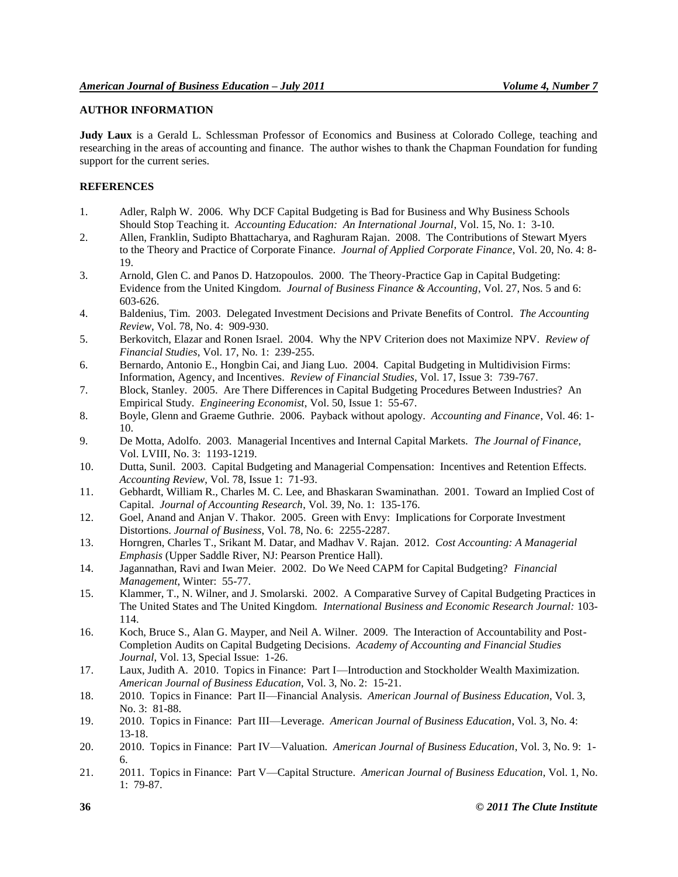### **AUTHOR INFORMATION**

**Judy Laux** is a Gerald L. Schlessman Professor of Economics and Business at Colorado College, teaching and researching in the areas of accounting and finance. The author wishes to thank the Chapman Foundation for funding support for the current series.

#### **REFERENCES**

- 1. Adler, Ralph W. 2006. Why DCF Capital Budgeting is Bad for Business and Why Business Schools Should Stop Teaching it. *Accounting Education: An International Journal*, Vol. 15, No. 1: 3-10.
- 2. Allen, Franklin, Sudipto Bhattacharya, and Raghuram Rajan. 2008. The Contributions of Stewart Myers to the Theory and Practice of Corporate Finance. *Journal of Applied Corporate Finance*, Vol. 20, No. 4: 8- 19.
- 3. Arnold, Glen C. and Panos D. Hatzopoulos. 2000. The Theory-Practice Gap in Capital Budgeting: Evidence from the United Kingdom. *Journal of Business Finance & Accounting*, Vol. 27, Nos. 5 and 6: 603-626.
- 4. Baldenius, Tim. 2003. Delegated Investment Decisions and Private Benefits of Control. *The Accounting Review*, Vol. 78, No. 4: 909-930.
- 5. Berkovitch, Elazar and Ronen Israel. 2004. Why the NPV Criterion does not Maximize NPV. *Review of Financial Studies*, Vol. 17, No. 1: 239-255.
- 6. Bernardo, Antonio E., Hongbin Cai, and Jiang Luo. 2004. Capital Budgeting in Multidivision Firms: Information, Agency, and Incentives. *Review of Financial Studies*, Vol. 17, Issue 3: 739-767.
- 7. Block, Stanley. 2005. Are There Differences in Capital Budgeting Procedures Between Industries? An Empirical Study. *Engineering Economist*, Vol. 50, Issue 1: 55-67.
- 8. Boyle, Glenn and Graeme Guthrie. 2006. Payback without apology. *Accounting and Finance*, Vol. 46: 1- 10.
- 9. De Motta, Adolfo. 2003. Managerial Incentives and Internal Capital Markets. *The Journal of Finance*, Vol. LVIII, No. 3: 1193-1219.
- 10. Dutta, Sunil. 2003. Capital Budgeting and Managerial Compensation: Incentives and Retention Effects. *Accounting Review*, Vol. 78, Issue 1: 71-93.
- 11. Gebhardt, William R., Charles M. C. Lee, and Bhaskaran Swaminathan. 2001. Toward an Implied Cost of Capital. *Journal of Accounting Research*, Vol. 39, No. 1: 135-176.
- 12. Goel, Anand and Anjan V. Thakor. 2005. Green with Envy: Implications for Corporate Investment Distortions. *Journal of Business*, Vol. 78, No. 6: 2255-2287.
- 13. Horngren, Charles T., Srikant M. Datar, and Madhav V. Rajan. 2012. *Cost Accounting: A Managerial Emphasis* (Upper Saddle River, NJ: Pearson Prentice Hall).
- 14. Jagannathan, Ravi and Iwan Meier. 2002. Do We Need CAPM for Capital Budgeting? *Financial Management*, Winter: 55-77.
- 15. Klammer, T., N. Wilner, and J. Smolarski. 2002. A Comparative Survey of Capital Budgeting Practices in The United States and The United Kingdom. *International Business and Economic Research Journal:* 103- 114.
- 16. Koch, Bruce S., Alan G. Mayper, and Neil A. Wilner. 2009. The Interaction of Accountability and Post-Completion Audits on Capital Budgeting Decisions. *Academy of Accounting and Financial Studies Journal*, Vol. 13, Special Issue: 1-26.
- 17. Laux, Judith A. 2010. Topics in Finance: Part I—Introduction and Stockholder Wealth Maximization. *American Journal of Business Education*, Vol. 3, No. 2: 15-21.
- 18. 2010. Topics in Finance: Part II—Financial Analysis. *American Journal of Business Education*, Vol. 3, No. 3: 81-88.
- 19. 2010. Topics in Finance: Part III—Leverage. *American Journal of Business Education*, Vol. 3, No. 4: 13-18.
- 20. 2010. Topics in Finance: Part IV—Valuation. *American Journal of Business Education*, Vol. 3, No. 9: 1- 6.
- 21. 2011. Topics in Finance: Part V—Capital Structure. *American Journal of Business Education*, Vol. 1, No. 1: 79-87.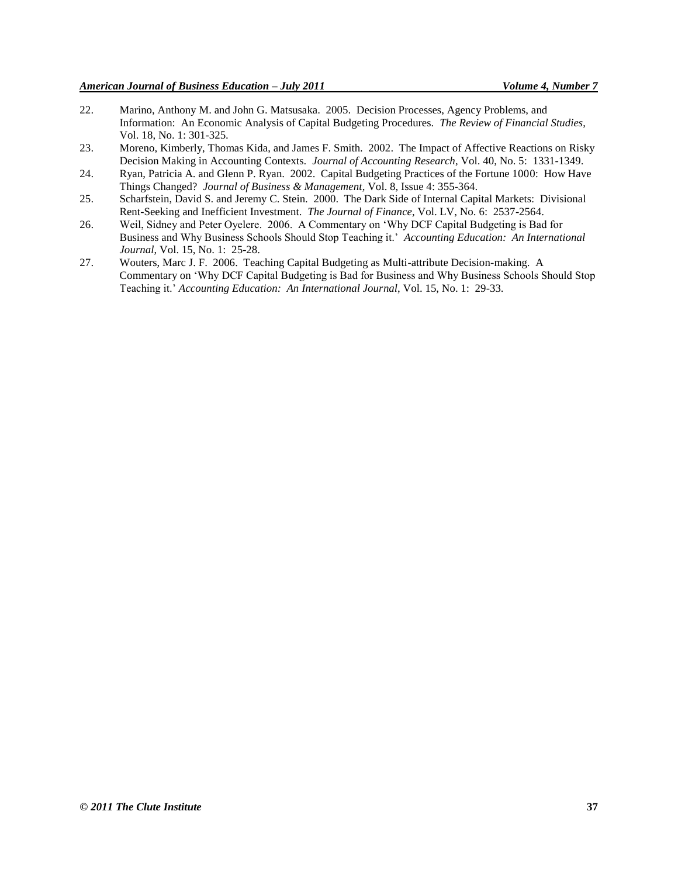- 22. Marino, Anthony M. and John G. Matsusaka. 2005. Decision Processes, Agency Problems, and Information: An Economic Analysis of Capital Budgeting Procedures. *The Review of Financial Studies*, Vol. 18, No. 1: 301-325.
- 23. Moreno, Kimberly, Thomas Kida, and James F. Smith. 2002. The Impact of Affective Reactions on Risky Decision Making in Accounting Contexts. *Journal of Accounting Research*, Vol. 40, No. 5: 1331-1349.
- 24. Ryan, Patricia A. and Glenn P. Ryan. 2002. Capital Budgeting Practices of the Fortune 1000: How Have Things Changed? *Journal of Business & Management*, Vol. 8, Issue 4: 355-364.
- 25. Scharfstein, David S. and Jeremy C. Stein. 2000. The Dark Side of Internal Capital Markets: Divisional Rent-Seeking and Inefficient Investment. *The Journal of Finance*, Vol. LV, No. 6: 2537-2564.
- 26. Weil, Sidney and Peter Oyelere. 2006. A Commentary on ‗Why DCF Capital Budgeting is Bad for Business and Why Business Schools Should Stop Teaching it.' *Accounting Education: An International Journal*, Vol. 15, No. 1: 25-28.
- 27. Wouters, Marc J. F. 2006. Teaching Capital Budgeting as Multi-attribute Decision-making. A Commentary on ‗Why DCF Capital Budgeting is Bad for Business and Why Business Schools Should Stop Teaching it.' *Accounting Education: An International Journal*, Vol. 15, No. 1: 29-33.